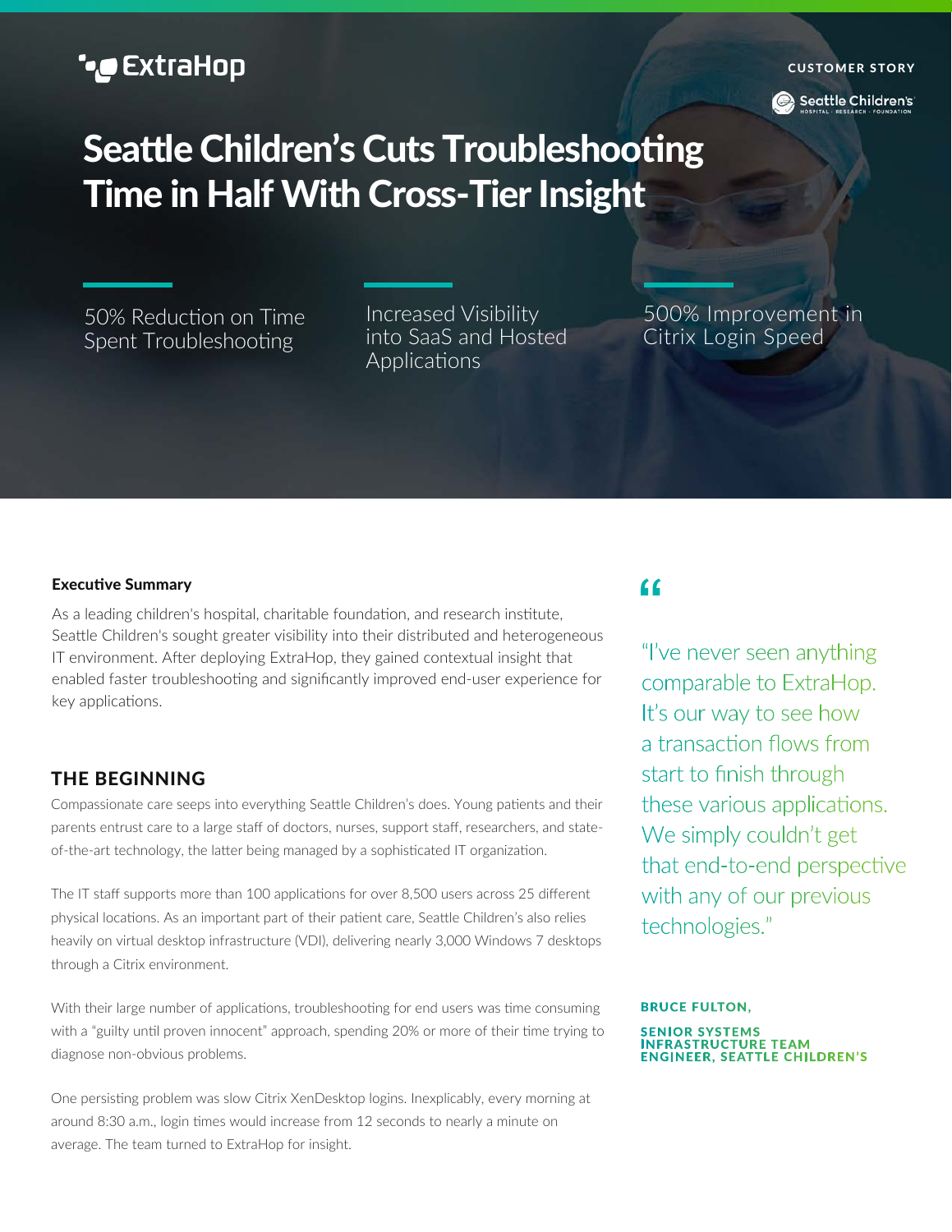# **•@** ExtraHop

#### **C USTOMER STO RY**

Seattle Children's

# **Seattle Children's Cuts Troubleshooting Time in Half With Cross-Tier Insight**

50% Reduction on Time Spent Troubleshooting

Increased Visibility into SaaS and Hosted Applications

500% Improvement in Citrix Login Speed

#### **Executive Summary**

As a leading children's hospital, charitable foundation, and research institute, Seattle Children's sought greater visibility into their distributed and heterogeneous IT environment. After deploying ExtraHop, they gained contextual insight that enabled faster troubleshooting and significantly improved end-user experience for key applications.

### **THE BEGINNING**

Compassionate care seeps into everything Seattle Children's does. Young patients and their parents entrust care to a large staff of doctors, nurses, support staff, researchers, and stateof-the-art technology, the latter being managed by a sophisticated IT organization.

The IT staff supports more than 100 applications for over 8,500 users across 25 different physical locations. As an important part of their patient care, Seattle Children's also relies heavily on virtual desktop infrastructure (VDI), delivering nearly 3,000 Windows 7 desktops through a Citrix environment.

With their large number of applications, troubleshooting for end users was time consuming with a "guilty until proven innocent" approach, spending 20% or more of their time trying to diagnose non-obvious problems.

One persisting problem was slow Citrix XenDesktop logins. Inexplicably, every morning at around 8:30 a.m., login times would increase from 12 seconds to nearly a minute on average. The team turned to ExtraHop for insight.

# $\epsilon$

"I've never seen anything comparable to ExtraHop. It's our way to see how a transaction flows from start to finish through these various applications. We simply couldn't get that end-to-end perspective with any of our previous technologies."

#### **BRUCE FULTON.**

**SENIOR SYSTEMS** SENIOR STSTEMS<br>INFRASTRUCTURE TEAM<br>ENGINEER, SEATTLE CHILDREN'S